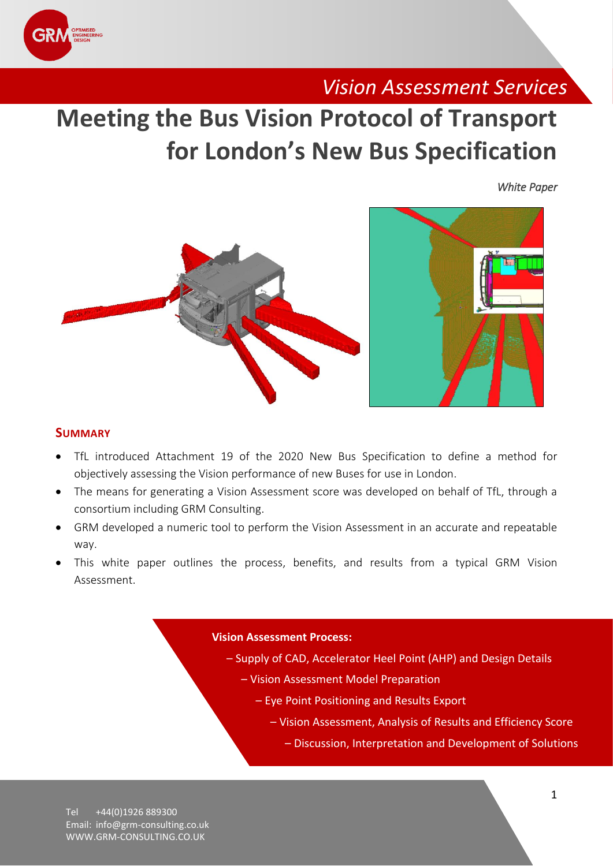

# *Vision Assessment Services*

# **Meeting the Bus Vision Protocol of Transport for London's New Bus Specification**

*White Paper* 





### **SUMMARY**

- TfL introduced Attachment 19 of the 2020 New Bus Specification to define a method for objectively assessing the Vision performance of new Buses for use in London.
- The means for generating a Vision Assessment score was developed on behalf of TfL, through a consortium including GRM Consulting.
- GRM developed a numeric tool to perform the Vision Assessment in an accurate and repeatable way.
- This white paper outlines the process, benefits, and results from a typical GRM Vision Assessment.

#### **Vision Assessment Process:**

- Supply of CAD, Accelerator Heel Point (AHP) and Design Details
	- Vision Assessment Model Preparation
		- Eye Point Positioning and Results Export
			- Vision Assessment, Analysis of Results and Efficiency Score
				- Discussion, Interpretation and Development of Solutions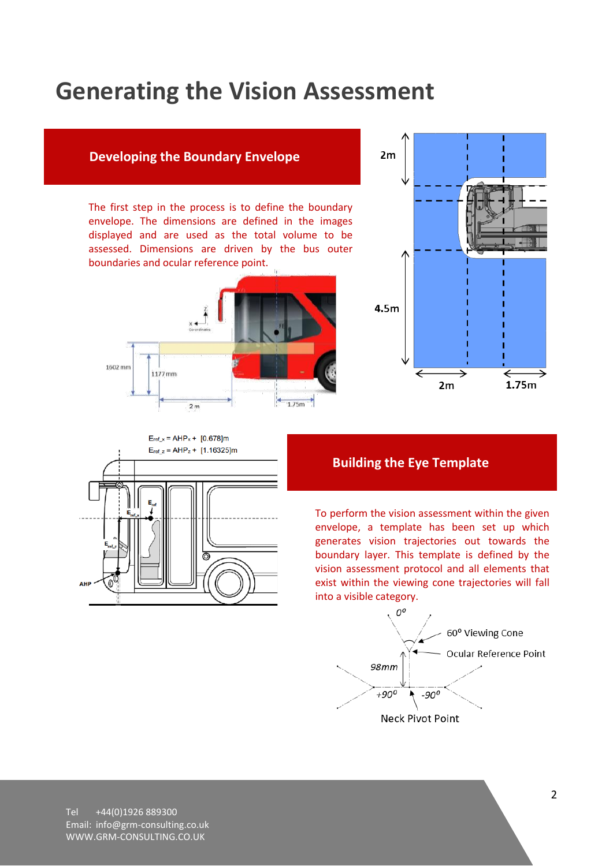# **Generating the Vision Assessment**

## **Developing the Boundary Envelope**

The first step in the process is to define the boundary envelope. The dimensions are defined in the images displayed and are used as the total volume to be assessed. Dimensions are driven by the bus outer boundaries and ocular reference point.







# **Building the Eye Template**

To perform the vision assessment within the given envelope, a template has been set up which generates vision trajectories out towards the boundary layer. This template is defined by the vision assessment protocol and all elements that exist within the viewing cone trajectories will fall into a visible category.